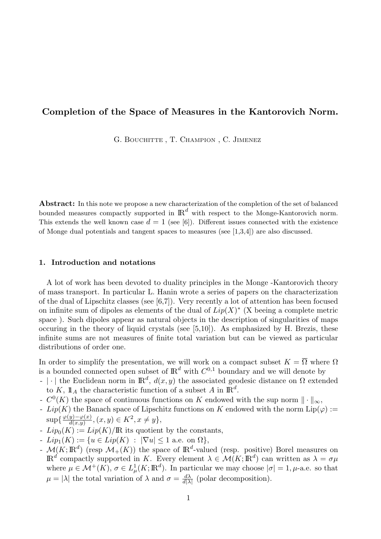# Completion of the Space of Measures in the Kantorovich Norm.

G. BOUCHITTE , T. CHAMPION , C. JIMENEZ

Abstract: In this note we propose a new characterization of the completion of the set of balanced bounded measures compactly supported in  $\mathbb{R}^d$  with respect to the Monge-Kantorovich norm. This extends the well known case  $d = 1$  (see [6]). Different issues connected with the existence of Monge dual potentials and tangent spaces to measures (see [1,3,4]) are also discussed.

## 1. Introduction and notations

A lot of work has been devoted to duality principles in the Monge -Kantorovich theory of mass transport. In particular L. Hanin wrote a series of papers on the characterization of the dual of Lipschitz classes (see [6,7]). Very recently a lot of attention has been focused on infinite sum of dipoles as elements of the dual of  $Lip(X)^*$  (X beeing a complete metric space ). Such dipoles appear as natural objects in the description of singularities of maps occuring in the theory of liquid crystals (see [5,10]). As emphasized by H. Brezis, these infinite sums are not measures of finite total variation but can be viewed as particular distributions of order one.

In order to simplify the presentation, we will work on a compact subset  $K = \overline{\Omega}$  where  $\Omega$ is a bounded connected open subset of  $\mathbb{R}^d$  with  $C^{0,1}$  boundary and we will denote by

- | · | the Euclidean norm in  $\mathbb{R}^d$ ,  $d(x, y)$  the associated geodesic distance on  $\Omega$  extended to K,  $\mathbb{1}_A$  the characteristic function of a subset A in  $\mathbb{R}^d$ .
- $C^0(K)$  the space of continuous functions on K endowed with the sup norm  $\|\cdot\|_{\infty}$ ,
- $Lip(K)$  the Banach space of Lipschitz functions on K endowed with the norm  $\text{Lip}(\varphi) :=$  $\sup\{\frac{\varphi(y)-\varphi(x)}{d(x,y)}\}$  $\frac{y)-\varphi(x)}{d(x,y)}, (x, y) \in K^2, x \neq y\},\,$
- $Lip_0(K) := Lip(K)/\mathbb{R}$  its quotient by the constants,
- $Lip_1(K) := \{u \in Lip(K) : |\nabla u| \leq 1 \text{ a.e. on } \Omega\},\$
- $\mathcal{M}(K;\mathbb{R}^d)$  (resp  $\mathcal{M}_+(K)$ ) the space of  $\mathbb{R}^d$ -valued (resp. positive) Borel measures on  $\mathbb{R}^d$  compactly supported in K. Every element  $\lambda \in \mathcal{M}(K;\mathbb{R}^d)$  can written as  $\lambda = \sigma\mu$ where  $\mu \in \mathcal{M}^+(K)$ ,  $\sigma \in L^1_\mu(K;\mathbb{R}^d)$ . In particular we may choose  $|\sigma|=1$ ,  $\mu$ -a.e. so that  $\mu = |\lambda|$  the total variation of  $\lambda$  and  $\sigma = \frac{d\lambda}{d\lambda}$  $\frac{d\lambda}{d|\lambda|}$  (polar decomposition).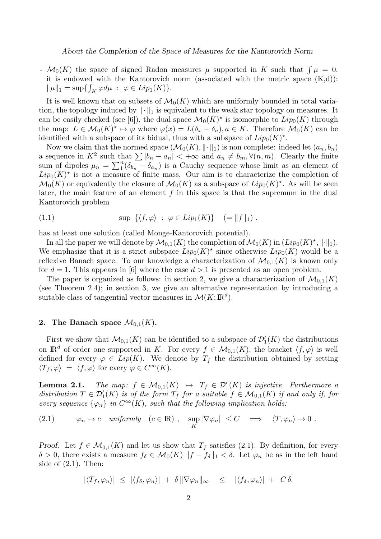-  $\mathcal{M}_0(K)$  the space of signed Radon measures  $\mu$  supported in K such that  $\int \mu = 0$ . it is endowed with the Kantorovich norm (associated with the metric space  $(K,d)$ ):  $\|\mu\|_1 = \sup\{ \int_K \varphi d\mu \; : \; \varphi \in Lip_1(K) \}.$ 

It is well known that on subsets of  $\mathcal{M}_0(K)$  which are uniformly bounded in total variation, the topology induced by  $\|\cdot\|_1$  is equivalent to the weak star topology on measures. It can be easily checked (see [6]), the dual space  $\mathcal{M}_0(K)^*$  is isomorphic to  $Lip_0(K)$  through the map:  $L \in \mathcal{M}_0(K)^* \mapsto \varphi$  where  $\varphi(x) = L(\delta_x - \delta_a), a \in K$ . Therefore  $\mathcal{M}_0(K)$  can be identified with a subspace of its bidual, thus with a subspace of  $Lip_0(K)^*$ .

Now we claim that the normed space  $(\mathcal{M}_0(K), \|\cdot\|_1)$  is non complete: indeed let  $(a_n, b_n)$ a sequence in  $K^2$  such that  $\sum |b_n - a_n| < +\infty$  and  $a_n \neq b_m, \forall (n, m)$ . Clearly the finite sum of dipoles  $\mu_n = \sum_{1}^{n} (\delta_{b_n} - \delta_{a_n})$  is a Cauchy sequence whose limit as an element of  $Lip_0(K)^*$  is not a measure of finite mass. Our aim is to characterize the completion of  $\mathcal{M}_0(K)$  or equivalently the closure of  $\mathcal{M}_0(K)$  as a subspace of  $Lip_0(K)^*$ . As will be seen later, the main feature of an element  $f$  in this space is that the supremum in the dual Kantorovich problem

(1.1) 
$$
\sup \left\{ \langle f, \varphi \rangle \ : \ \varphi \in Lip_1(K) \right\} \quad (= \|f\|_1),
$$

has at least one solution (called Monge-Kantorovich potential).

In all the paper we will denote by  $\mathcal{M}_{0,1}(K)$  the completion of  $\mathcal{M}_0(K)$  in  $(Lip_0(K)^*, \|\cdot\|_1)$ . We emphasize that it is a strict subspace  $Lip_0(K)^*$  since otherwise  $Lip_0(K)$  would be a reflexive Banach space. To our knowledge a characterization of  $\mathcal{M}_{0,1}(K)$  is known only for  $d = 1$ . This appears in [6] where the case  $d > 1$  is presented as an open problem.

The paper is organized as follows: in section 2, we give a characterization of  $\mathcal{M}_{0,1}(K)$ (see Theorem 2.4); in section 3, we give an alternative representation by introducing a suitable class of tangential vector measures in  $\mathcal{M}(K;\mathbb{R}^d)$ .

### 2. The Banach space  $\mathcal{M}_{0,1}(K)$ .

First we show that  $\mathcal{M}_{0,1}(K)$  can be identified to a subspace of  $\mathcal{D}'_1(K)$  the distributions on  $\mathbb{R}^d$  of order one supported in K. For every  $f \in \mathcal{M}_{0,1}(K)$ , the bracket  $\langle f, \varphi \rangle$  is well defined for every  $\varphi \in Lip(K)$ . We denote by  $T_f$  the distribution obtained by setting  $\langle T_f, \varphi \rangle = \langle f, \varphi \rangle$  for every  $\varphi \in C^{\infty}(K)$ .

**Lemma 2.1.** The map:  $f \in M_{0,1}(K) \rightarrow T_f \in \mathcal{D}'_1(K)$  is injective. Furthermore a distribution  $T \in \mathcal{D}'_1(K)$  is of the form  $T_f$  for a suitable  $f \in \mathcal{M}_{0,1}(K)$  if and only if, for every sequence  $\{\varphi_n\}$  in  $C^{\infty}(K)$ , such that the following implication holds:

(2.1) 
$$
\varphi_n \to c \quad \text{uniformly} \quad (c \in \mathbb{R}) \ , \quad \sup_K |\nabla \varphi_n| \leq C \implies \langle T, \varphi_n \rangle \to 0 \ .
$$

Proof. Let  $f \in \mathcal{M}_{0,1}(K)$  and let us show that  $T_f$  satisfies (2.1). By definition, for every  $\delta > 0$ , there exists a measure  $f_{\delta} \in \mathcal{M}_0(K) ||f - f_{\delta}||_1 < \delta$ . Let  $\varphi_n$  be as in the left hand side of  $(2.1)$ . Then:

$$
|\langle T_f, \varphi_n \rangle| \leq |\langle f_\delta, \varphi_n \rangle| + \delta \|\nabla \varphi_n\|_{\infty} \leq |\langle f_\delta, \varphi_n \rangle| + C \delta.
$$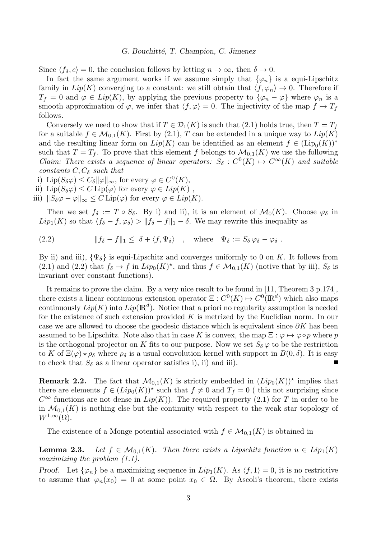Since  $\langle f_\delta, c \rangle = 0$ , the conclusion follows by letting  $n \to \infty$ , then  $\delta \to 0$ .

In fact the same argument works if we assume simply that  $\{\varphi_n\}$  is a equi-Lipschitz family in  $Lip(K)$  converging to a constant: we still obtain that  $\langle f, \varphi_n \rangle \to 0$ . Therefore if  $T_f = 0$  and  $\varphi \in Lip(K)$ , by applying the previous property to  $\{\varphi_n - \varphi\}$  where  $\varphi_n$  is a smooth approximation of  $\varphi$ , we infer that  $\langle f, \varphi \rangle = 0$ . The injectivity of the map  $f \mapsto T_f$ follows.

Conversely we need to show that if  $T \in \mathcal{D}_1(K)$  is such that  $(2.1)$  holds true, then  $T = T_f$ for a suitable  $f \in \mathcal{M}_{0,1}(K)$ . First by  $(2.1)$ , T can be extended in a unique way to  $Lip(K)$ and the resulting linear form on  $Lip(K)$  can be identified as an element  $f \in (Lip_0(K))^*$ such that  $T = T_f$ . To prove that this element f belongs to  $\mathcal{M}_{0,1}(K)$  we use the following Claim: There exists a sequence of linear operators:  $S_{\delta}: C^{0}(K) \mapsto C^{\infty}(K)$  and suitable constants  $C, C_{\delta}$  such that

i) Lip $(S_\delta \varphi) \leq C_\delta ||\varphi||_\infty$ , for every  $\varphi \in C^0(K)$ ,

ii)  $\text{Lip}(S_{\delta}\varphi) \leq C \text{Lip}(\varphi)$  for every  $\varphi \in Lip(K)$ ,

iii)  $||S_{\delta} \varphi - \varphi||_{\infty} \leq C \operatorname{Lip}(\varphi)$  for every  $\varphi \in Lip(K)$ .

Then we set  $f_{\delta} := T \circ S_{\delta}$ . By i) and ii), it is an element of  $\mathcal{M}_0(K)$ . Choose  $\varphi_{\delta}$  in  $Lip_1(K)$  so that  $\langle f_\delta - f, \varphi_\delta \rangle > ||f_\delta - f||_1 - \delta$ . We may rewrite this inequality as

(2.2) 
$$
||f_{\delta} - f||_1 \leq \delta + \langle f, \Psi_{\delta} \rangle \quad , \quad \text{where} \quad \Psi_{\delta} := S_{\delta} \varphi_{\delta} - \varphi_{\delta} .
$$

By ii) and iii),  $\{\Psi_{\delta}\}\$ is equi-Lipschitz and converges uniformly to 0 on K. It follows from (2.1) and (2.2) that  $f_{\delta} \to f$  in  $Lip_0(K)^*$ , and thus  $f \in \mathcal{M}_{0,1}(K)$  (notive that by iii),  $S_{\delta}$  is invariant over constant functions).

It remains to prove the claim. By a very nice result to be found in [11, Theorem 3 p.174], there exists a linear continuous extension operator  $\Xi: C^0(K) \mapsto C^0(\mathbb{R}^d)$  which also maps continuously  $Lip(K)$  into  $Lip(\mathbb{R}^d)$ . Notice that a priori no regularity assumption is needed for the existence of such extension provided  $K$  is metrized by the Euclidian norm. In our case we are allowed to choose the geodesic distance which is equivalent since  $\partial K$  has been assumed to be Lipschitz. Note also that in case K is convex, the map  $\Xi : \varphi \mapsto \varphi \circ p$  where p is the orthogonal projector on K fits to our purpose. Now we set  $S_{\delta} \varphi$  to be the restriction to K of  $\Xi(\varphi) \star \rho_{\delta}$  where  $\rho_{\delta}$  is a usual convolution kernel with support in  $B(0, \delta)$ . It is easy  $\blacksquare$ to check that  $S_{\delta}$  as a linear operator satisfies i), ii) and iii).

**Remark 2.2.** The fact that  $\mathcal{M}_{0,1}(K)$  is strictly embedded in  $(Lip_0(K))^*$  implies that there are elements  $f \in (Lip_0(K))^*$  such that  $f \neq 0$  and  $T_f = 0$  (this not surprising since  $C^{\infty}$  functions are not dense in  $Lip(K)$ ). The required property (2.1) for T in order to be in  $\mathcal{M}_{0,1}(K)$  is nothing else but the continuity with respect to the weak star topology of  $W^{1,\infty}(\Omega)$ .

The existence of a Monge potential associated with  $f \in \mathcal{M}_{0,1}(K)$  is obtained in

**Lemma 2.3.** Let  $f \in \mathcal{M}_{0,1}(K)$ . Then there exists a Lipschitz function  $u \in Lip_1(K)$ maximizing the problem  $(1.1)$ .

Proof. Let  $\{\varphi_n\}$  be a maximizing sequence in  $Lip_1(K)$ . As  $\langle f, 1 \rangle = 0$ , it is no restrictive to assume that  $\varphi_n(x_0) = 0$  at some point  $x_0 \in \Omega$ . By Ascoli's theorem, there exists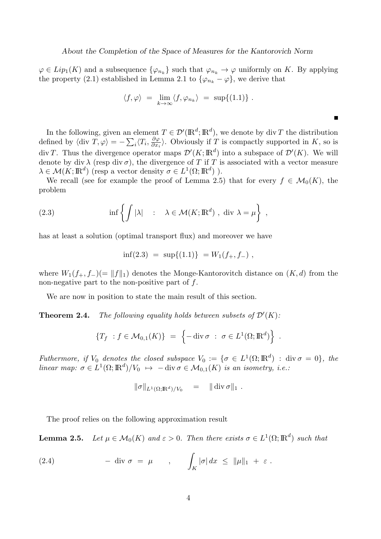$\varphi \in Lip_1(K)$  and a subsequence  $\{\varphi_{n_k}\}\$  such that  $\varphi_{n_k} \to \varphi$  uniformly on K. By applying the property (2.1) established in Lemma 2.1 to  $\{\varphi_{n_k} - \varphi\}$ , we derive that

$$
\langle f, \varphi \rangle = \lim_{k \to \infty} \langle f, \varphi_{n_k} \rangle = \sup \{ (1.1) \} .
$$

In the following, given an element  $T \in \mathcal{D}'(\mathbb{R}^d; \mathbb{R}^d)$ , we denote by div T the distribution defined by  $\langle \text{div } T, \varphi \rangle = -\sum_i \langle T_i, \frac{\partial \varphi}{\partial x_i} \rangle$  $\frac{\partial \varphi}{\partial x_i}$ . Obviously if T is compactly supported in K, so is div T. Thus the divergence operator maps  $\mathcal{D}'(K;\mathbb{R}^d)$  into a subspace of  $\mathcal{D}'(K)$ . We will denote by div  $\lambda$  (resp div  $\sigma$ ), the divergence of T if T is associated with a vector measure  $\lambda \in \mathcal{M}(K;\mathbb{R}^d)$  (resp a vector density  $\sigma \in L^1(\Omega;\mathbb{R}^d)$ ).

We recall (see for example the proof of Lemma 2.5) that for every  $f \in \mathcal{M}_0(K)$ , the problem

(2.3) 
$$
\inf \left\{ \int |\lambda| : \lambda \in \mathcal{M}(K; \mathbb{R}^d) , \text{ div } \lambda = \mu \right\},
$$

has at least a solution (optimal transport flux) and moreover we have

$$
\inf(2.3) = \sup\{(1.1)\} = W_1(f_+, f_-),
$$

where  $W_1(f_+, f_-)(= ||f||_1)$  denotes the Monge-Kantorovitch distance on  $(K, d)$  from the non-negative part to the non-positive part of  $f$ .

We are now in position to state the main result of this section.

**Theorem 2.4.** The following equality holds between subsets of  $\mathcal{D}'(K)$ :

$$
\{T_f : f \in \mathcal{M}_{0,1}(K)\} = \left\{-\operatorname{div} \sigma : \sigma \in L^1(\Omega; \mathbb{R}^d)\right\}
$$

.

 $\blacksquare$ 

Futhermore, if  $V_0$  denotes the closed subspace  $V_0 := \{ \sigma \in L^1(\Omega; \mathbb{R}^d) : \text{div }\sigma = 0 \}$ , the linear map:  $\sigma \in L^1(\Omega; \mathbb{R}^d)/V_0 \mapsto -\text{div }\sigma \in \mathcal{M}_{0,1}(K)$  is an isometry, i.e.:

$$
\|\sigma\|_{L^1(\Omega;\mathbb{R}^d)/V_0} = \|\operatorname{div} \sigma\|_1.
$$

The proof relies on the following approximation result

**Lemma 2.5.** Let  $\mu \in \mathcal{M}_0(K)$  and  $\varepsilon > 0$ . Then there exists  $\sigma \in L^1(\Omega; \mathbb{R}^d)$  such that

(2.4) 
$$
- \operatorname{div} \sigma = \mu \qquad , \qquad \int_K |\sigma| dx \leq \|\mu\|_1 + \varepsilon.
$$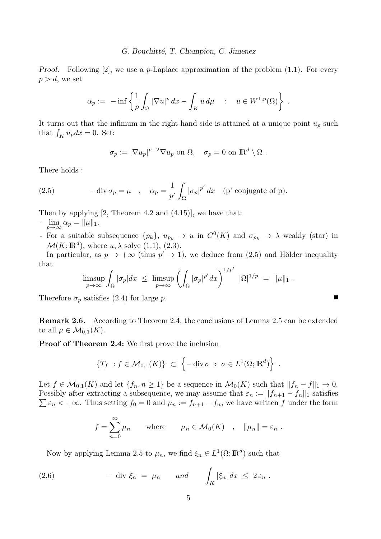*Proof.* Following [2], we use a p-Laplace approximation of the problem  $(1.1)$ . For every  $p > d$ , we set

$$
\alpha_p := - \inf \left\{ \frac{1}{p} \int_{\Omega} |\nabla u|^p dx - \int_K u d\mu \quad : \quad u \in W^{1,p}(\Omega) \right\} .
$$

It turns out that the infimum in the right hand side is attained at a unique point  $u_p$  such that  $\int_K u_p dx = 0$ . Set:

$$
\sigma_p := |\nabla u_p|^{p-2} \nabla u_p \text{ on } \Omega, \quad \sigma_p = 0 \text{ on } \mathbb{R}^d \setminus \Omega .
$$

There holds :

(2.5) 
$$
-\operatorname{div} \sigma_p = \mu \quad , \quad \alpha_p = \frac{1}{p'} \int_{\Omega} |\sigma_p|^{p'} dx \quad (p' \text{ conjugate of } p).
$$

Then by applying [2, Theorem 4.2 and (4.15)], we have that:

- $\lim_{p\to\infty} \alpha_p = ||\mu||_1.$
- For a suitable subsequence  $\{p_k\}, u_{p_k} \to u$  in  $C^0(K)$  and  $\sigma_{p_k} \to \lambda$  weakly (star) in  $\mathcal{M}(K;\mathbb{R}^d)$ , where  $u, \lambda$  solve  $(1.1), (2.3)$ .

In particular, as  $p \to +\infty$  (thus  $p' \to 1$ ), we deduce from (2.5) and Hölder inequality that

$$
\limsup_{p\to\infty}\int_{\Omega}|\sigma_p|dx \ \leq \ \limsup_{p\to\infty}\left(\int_{\Omega}|\sigma_p|^{p'}dx\right)^{1/p'} |\Omega|^{1/p} \ = \ \|\mu\|_1 \ .
$$

 $\blacksquare$ 

Therefore  $\sigma_p$  satisfies (2.4) for large p.

Remark 2.6. According to Theorem 2.4, the conclusions of Lemma 2.5 can be extended to all  $\mu \in \mathcal{M}_{0,1}(K)$ .

Proof of Theorem 2.4: We first prove the inclusion

$$
\{T_f : f \in \mathcal{M}_{0,1}(K)\} \subset \left\{-\operatorname{div} \sigma : \sigma \in L^1(\Omega; \mathbb{R}^d)\right\}.
$$

Let  $f \in \mathcal{M}_{0,1}(K)$  and let  $\{f_n, n \geq 1\}$  be a sequence in  $\mathcal{M}_0(K)$  such that  $||f_n - f||_1 \to 0$ . Possibly after extracting a subsequence, we may assume that  $\varepsilon_n := ||f_{n+1} - f_n||_1$  satisfies  $\sum \varepsilon_n < +\infty$ . Thus setting  $f_0 = 0$  and  $\mu_n := f_{n+1} - f_n$ , we have written f under the form

$$
f = \sum_{n=0}^{\infty} \mu_n
$$
 where  $\mu_n \in \mathcal{M}_0(K)$ ,  $\|\mu_n\| = \varepsilon_n$ .

Now by applying Lemma 2.5 to  $\mu_n$ , we find  $\xi_n \in L^1(\Omega; \mathbb{R}^d)$  such that

(2.6) 
$$
- \operatorname{div} \xi_n = \mu_n \quad \text{and} \quad \int_K |\xi_n| dx \leq 2 \varepsilon_n.
$$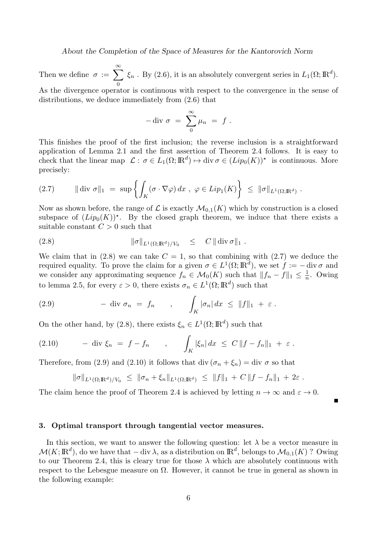About the Completion of the Space of Measures for the Kantorovich Norm

Then we define  $\sigma := \sum_{n=0}^{\infty}$  $\mathbf{0}$  $\xi_n$ . By (2.6), it is an absolutely convergent series in  $L_1(\Omega;\mathbb{R}^d)$ .

As the divergence operator is continuous with respect to the convergence in the sense of distributions, we deduce immediately from (2.6) that

$$
-\text{ div }\sigma\ =\ \sum_{0}^{\infty}\mu_n\ =\ f\ .
$$

This finishes the proof of the first inclusion; the reverse inclusion is a straightforward application of Lemma 2.1 and the first assertion of Theorem 2.4 follows. It is easy to check that the linear map  $\mathcal{L}: \sigma \in L_1(\Omega; \mathbb{R}^d) \mapsto \text{div }\sigma \in (Lip_0(K))^*$  is continuous. More precisely:

$$
(2.7) \qquad \|\text{div }\sigma\|_1 \ = \ \sup\left\{\int_K (\sigma \cdot \nabla \varphi) \, dx \ , \ \varphi \in Lip_1(K)\right\} \ \leq \ \|\sigma\|_{L^1(\Omega;\mathbb{R}^d)} \ .
$$

Now as shown before, the range of  $\mathcal L$  is exactly  $\mathcal M_{0,1}(K)$  which by construction is a closed subspace of  $(Lip_0(K))^*$ . By the closed graph theorem, we induce that there exists a suitable constant  $C > 0$  such that

(2.8) 
$$
\|\sigma\|_{L^1(\Omega; \mathbb{R}^d)/V_0} \leq C \| \operatorname{div} \sigma \|_1.
$$

We claim that in (2.8) we can take  $C = 1$ , so that combining with (2.7) we deduce the required equality. To prove the claim for a given  $\sigma \in L^1(\Omega;\mathbb{R}^d)$ , we set  $f := - \text{div}\,\sigma$  and we consider any approximating sequence  $f_n \in \mathcal{M}_0(K)$  such that  $||f_n - f||_1 \leq \frac{1}{n}$  $\frac{1}{n}$ . Owing to lemma 2.5, for every  $\varepsilon > 0$ , there exists  $\sigma_n \in L^1(\Omega; \mathbb{R}^d)$  such that

(2.9) 
$$
-\operatorname{div} \sigma_n = f_n \qquad , \qquad \int_K |\sigma_n| dx \leq \|f\|_1 + \varepsilon.
$$

On the other hand, by (2.8), there exists  $\xi_n \in L^1(\Omega; \mathbb{R}^d)$  such that

(2.10) 
$$
- \operatorname{div} \xi_n = f - f_n , \qquad \int_K |\xi_n| dx \leq C \|f - f_n\|_1 + \varepsilon.
$$

Therefore, from (2.9) and (2.10) it follows that div  $(\sigma_n + \xi_n) =$  div  $\sigma$  so that

$$
\|\sigma\|_{L^1(\Omega;\mathbb{R}^d)/V_0} \leq \|\sigma_n+\xi_n\|_{L^1(\Omega;\mathbb{R}^d)} \leq \|f\|_1 + C \|f-f_n\|_1 + 2\varepsilon.
$$

The claim hence the proof of Theorem 2.4 is achieved by letting  $n \to \infty$  and  $\varepsilon \to 0$ .

3. Optimal transport through tangential vector measures.

In this section, we want to answer the following question: let  $\lambda$  be a vector measure in  $\mathcal{M}(K;\mathbb{R}^d)$ , do we have that  $-\mathop{\mathrm{div}}\lambda$ , as a distribution on  $\mathbb{R}^d$ , belongs to  $\mathcal{M}_{0,1}(K)$  ? Owing to our Theorem 2.4, this is cleary true for those  $\lambda$  which are absolutely continuous with respect to the Lebesgue measure on  $\Omega$ . However, it cannot be true in general as shown in the following example: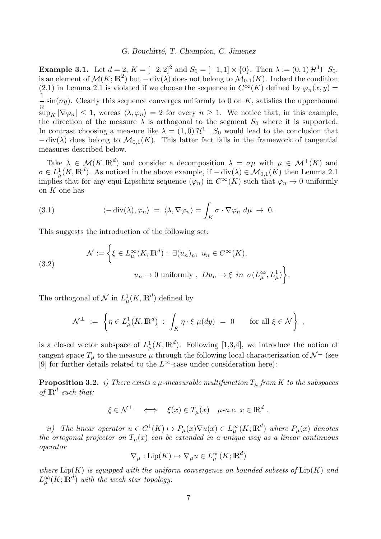**Example 3.1.** Let  $d = 2$ ,  $K = [-2, 2]^2$  and  $S_0 = [-1, 1] \times \{0\}$ . Then  $\lambda := (0, 1) \mathcal{H}^1 \square S_0$ . is an element of  $\mathcal{M}(K;\mathbb{R}^2)$  but  $-\text{div}(\lambda)$  does not belong to  $\mathcal{M}_{0,1}(K)$ . Indeed the condition (2.1) in Lemma 2.1 is violated if we choose the sequence in  $C^{\infty}(K)$  defined by  $\varphi_n(x,y)$ 1  $\overline{n}$  $\sin(ny)$ . Clearly this sequence converges uniformly to 0 on K, satisfies the upperbound  $\sup_K |\nabla \varphi_n| \leq 1$ , wereas  $\langle \lambda, \varphi_n \rangle = 2$  for every  $n \geq 1$ . We notice that, in this example, the direction of the measure  $\lambda$  is orthogonal to the segment  $S_0$  where it is supported. In contrast choosing a measure like  $\lambda = (1,0) \mathcal{H}^1 \square S_0$  would lead to the conclusion that  $-\text{div}(\lambda)$  does belong to  $\mathcal{M}_{0,1}(K)$ . This latter fact falls in the framework of tangential measures described below.

Take  $\lambda \in \mathcal{M}(K, \mathbb{R}^d)$  and consider a decomposition  $\lambda = \sigma \mu$  with  $\mu \in \mathcal{M}^+(K)$  and  $\sigma \in L^1_\mu(K, \mathbb{R}^d)$ . As noticed in the above example, if  $-\text{div}(\lambda) \in \mathcal{M}_{0,1}(K)$  then Lemma 2.1 implies that for any equi-Lipschitz sequence  $(\varphi_n)$  in  $C^{\infty}(K)$  such that  $\varphi_n \to 0$  uniformly on K one has

(3.1) 
$$
\langle -\operatorname{div}(\lambda), \varphi_n \rangle = \langle \lambda, \nabla \varphi_n \rangle = \int_K \sigma \cdot \nabla \varphi_n \, d\mu \to 0.
$$

This suggests the introduction of the following set:

(3.2)  
\n
$$
\mathcal{N} := \left\{ \xi \in L^{\infty}_{\mu}(K, \mathbb{R}^{d}) : \exists (u_{n})_{n}, u_{n} \in C^{\infty}(K), \right\}
$$
\n
$$
u_{n} \to 0 \text{ uniformly }, Du_{n} \to \xi \text{ in } \sigma(L^{\infty}_{\mu}, L^{1}_{\mu}) \right\}.
$$

The orthogonal of  $\mathcal N$  in  $L^1_\mu(K,\mathbb R^d)$  defined by

$$
\mathcal{N}^{\perp} := \left\{ \eta \in L^1_\mu(K, \mathbb{R}^d) \; : \; \int_K \eta \cdot \xi \; \mu(dy) \; = \; 0 \qquad \text{for all } \xi \in \mathcal{N} \right\} \;,
$$

is a closed vector subspace of  $L^1_\mu(K,\mathbb{R}^d)$ . Following [1,3,4], we introduce the notion of tangent space  $T_{\mu}$  to the measure  $\mu$  through the following local characterization of  $\mathcal{N}^{\perp}$  (see [9] for further details related to the  $L^{\infty}$ -case under consideration here):

**Proposition 3.2.** i) There exists a  $\mu$ -measurable multifunction  $T_{\mu}$  from K to the subspaces of  $\mathbb{R}^d$  such that:

$$
\xi \in \mathcal{N}^{\perp} \iff \xi(x) \in T_{\mu}(x) \quad \mu \text{-} a.e. \ x \in \mathbb{R}^d \ .
$$

ii) The linear operator  $u \in C^1(K) \mapsto P_\mu(x) \nabla u(x) \in L^\infty_\mu(K; \mathbb{R}^d)$  where  $P_\mu(x)$  denotes the ortogonal projector on  $T_{\mu}(x)$  can be extended in a unique way as a linear continuous operator

$$
\nabla_{\mu} : \mathrm{Lip}(K) \mapsto \nabla_{\mu} u \in L^{\infty}_{\mu}(K;\mathbb{R}^d)
$$

where  $\text{Lip}(K)$  is equipped with the uniform convergence on bounded subsets of  $\text{Lip}(K)$  and  $L^\infty_\mu(K;{\rm I\!R}^d)$  with the weak star topology.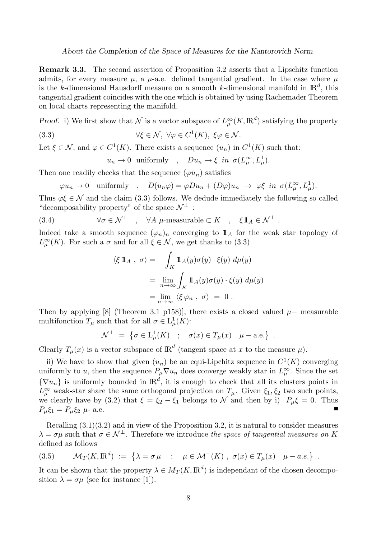About the Completion of the Space of Measures for the Kantorovich Norm

Remark 3.3. The second assertion of Proposition 3.2 asserts that a Lipschitz function admits, for every measure  $\mu$ , a  $\mu$ -a.e. defined tangential gradient. In the case where  $\mu$ is the k-dimensional Hausdorff measure on a smooth k-dimensional manifold in  $\mathbb{R}^d$ , this tangential gradient coincides with the one which is obtained by using Rachemader Theorem on local charts representing the manifold.

Proof. i) We first show that N is a vector subspace of  $L^{\infty}_{\mu}(K,\mathbb{R}^d)$  satisfying the property

(3.3) 
$$
\forall \xi \in \mathcal{N}, \ \forall \varphi \in C^{1}(K), \ \xi \varphi \in \mathcal{N}.
$$

Let  $\xi \in \mathcal{N}$ , and  $\varphi \in C^1(K)$ . There exists a sequence  $(u_n)$  in  $C^1(K)$  such that:

$$
u_n \to 0
$$
 uniformly,  $Du_n \to \xi$  in  $\sigma(L^\infty_\mu, L^1_\mu)$ .

Then one readily checks that the sequence  $(\varphi u_n)$  satisfies

$$
\varphi u_n \to 0
$$
 uniformly,  $D(u_n \varphi) = \varphi Du_n + (D\varphi)u_n \to \varphi \xi$  in  $\sigma(L^\infty_\mu, L^1_\mu)$ .

Thus  $\varphi \xi \in \mathcal{N}$  and the claim (3.3) follows. We dedude immediately the following so called "decomposability property" of the space  $\mathcal{N}^{\perp}$ :

(3.4) 
$$
\forall \sigma \in \mathcal{N}^{\perp} \quad , \quad \forall A \ \mu\text{-measurable} \subset K \quad , \quad \xi 1\!\!1_A \in \mathcal{N}^{\perp} \ .
$$

Indeed take a smooth sequence  $(\varphi_n)_n$  converging to  $\mathbb{1}_A$  for the weak star topology of  $L^{\infty}_{\mu}(K)$ . For such a  $\sigma$  and for all  $\xi \in \mathcal{N}$ , we get thanks to (3.3)

$$
\langle \xi \, \mathbb{1}_A \, , \, \sigma \rangle = \int_K \mathbb{1}_A(y) \sigma(y) \cdot \xi(y) \, d\mu(y)
$$

$$
= \lim_{n \to \infty} \int_K \mathbb{1}_A(y) \sigma(y) \cdot \xi(y) \, d\mu(y)
$$

$$
= \lim_{n \to \infty} \langle \xi \, \varphi_n \, , \, \sigma \rangle = 0 \, .
$$

Then by applying [8] (Theorem 3.1 p158)], there exists a closed valued  $\mu$ – measurable multifonction  $T_{\mu}$  such that for all  $\sigma \in L^1_{\mu}(K)$ :

$$
\mathcal{N}^{\perp} = \{ \sigma \in \mathcal{L}^1_\mu(K) \ ; \ \sigma(x) \in T_\mu(x) \ \mu-\text{a.e.} \} .
$$

Clearly  $T_{\mu}(x)$  is a vector subspace of  $\mathbb{R}^{d}$  (tangent space at x to the measure  $\mu$ ).

ii) We have to show that given  $(u_n)$  be an equi-Lipchitz sequence in  $C^1(K)$  converging uniformly to u, then the sequence  $P_{\mu} \nabla u_n$  does converge weakly star in  $L^{\infty}_{\mu}$ . Since the set  $\{\nabla u_n\}$  is uniformly bounded in  $\mathbb{R}^d$ , it is enough to check that all its clusters points in  $L^{\infty}_{\mu}$  weak-star share the same orthogonal projection on  $T_{\mu}$ . Given  $\xi_1, \xi_2$  two such points, we clearly have by (3.2) that  $\xi = \xi_2 - \xi_1$  belongs to N and then by i)  $P_\mu \xi = 0$ . Thus  $P_{\mu}\xi_1 = P_{\mu}\xi_2 \mu$ - a.e.

Recalling (3.1)(3.2) and in view of the Proposition 3.2, it is natural to consider measures  $\lambda = \sigma \mu$  such that  $\sigma \in \mathcal{N}^{\perp}$ . Therefore we introduce the space of tangential measures on K defined as follows

(3.5) 
$$
\mathcal{M}_T(K, \mathbb{R}^d) := \left\{ \lambda = \sigma \mu : \mu \in \mathcal{M}^+(K) , \sigma(x) \in T_\mu(x) \quad \mu - a.e. \right\} .
$$

It can be shown that the property  $\lambda \in M_T(K, \mathbb{R}^d)$  is independant of the chosen decomposition  $\lambda = \sigma \mu$  (see for instance [1]).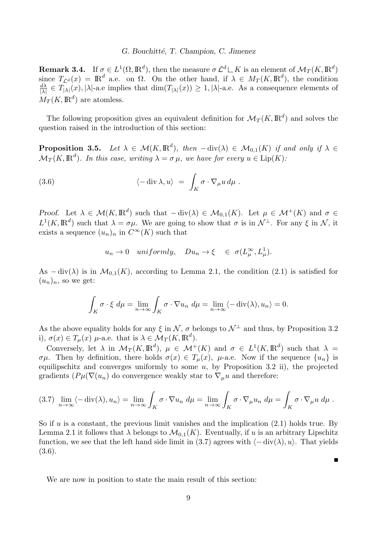**Remark 3.4.** If  $\sigma \in L^1(\Omega, \mathbb{R}^d)$ , then the measure  $\sigma L^d \square K$  is an element of  $\mathcal{M}_T(K, \mathbb{R}^d)$ since  $T_{\mathcal{L}^d}(x) = \mathbb{R}^d$  a.e. on  $\Omega$ . On the other hand, if  $\lambda \in M_T(K, \mathbb{R}^d)$ , the condition  $d\lambda$  $\frac{d\lambda}{|\lambda|} \in T_{|\lambda|}(x), |\lambda|$ -a.e implies that  $\dim(T_{|\lambda|}(x)) \geq 1, |\lambda|$ -a.e. As a consequence elements of  $M_T(K, \mathbb{R}^d)$  are atomless.

The following proposition gives an equivalent definition for  $\mathcal{M}_T(K,\mathbb{R}^d)$  and solves the question raised in the introduction of this section:

**Proposition 3.5.** Let  $\lambda \in \mathcal{M}(K,\mathbb{R}^d)$ , then  $-\text{div}(\lambda) \in \mathcal{M}_{0,1}(K)$  if and only if  $\lambda \in$  $\mathcal{M}_T(K, \mathbb{R}^d)$ . In this case, writing  $\lambda = \sigma \mu$ , we have for every  $u \in \text{Lip}(K)$ .

(3.6) 
$$
\langle -\operatorname{div} \lambda, u \rangle = \int_K \sigma \cdot \nabla_\mu u \, d\mu.
$$

Proof. Let  $\lambda \in \mathcal{M}(K, \mathbb{R}^d)$  such that  $-\text{div}(\lambda) \in \mathcal{M}_{0,1}(K)$ . Let  $\mu \in \mathcal{M}^+(K)$  and  $\sigma \in$  $L^1(K,\mathbb{R}^d)$  such that  $\lambda = \sigma\mu$ . We are going to show that  $\sigma$  is in  $\mathcal{N}^{\perp}$ . For any  $\xi$  in  $\mathcal{N}$ , it exists a sequence  $(u_n)_n$  in  $C^{\infty}(K)$  such that

$$
u_n \to 0
$$
 uniformly,  $Du_n \to \xi \in \sigma(L^\infty_\mu, L^1_\mu)$ .

As  $-\text{div}(\lambda)$  is in  $\mathcal{M}_{0,1}(K)$ , according to Lemma 2.1, the condition (2.1) is satisfied for  $(u_n)_n$ , so we get:

$$
\int_K \sigma \cdot \xi \, d\mu = \lim_{n \to \infty} \int_K \sigma \cdot \nabla u_n \, d\mu = \lim_{n \to \infty} \langle -\operatorname{div}(\lambda), u_n \rangle = 0.
$$

As the above equality holds for any  $\xi$  in  $\mathcal{N}, \sigma$  belongs to  $\mathcal{N}^{\perp}$  and thus, by Proposition 3.2 i),  $\sigma(x) \in T_{\mu}(x)$   $\mu$ -a.e. that is  $\lambda \in \mathcal{M}_T(K, \mathbb{R}^d)$ .

Conversely, let  $\lambda$  in  $\mathcal{M}_T(K, \mathbb{R}^d)$ ,  $\mu \in \mathcal{M}^+(K)$  and  $\sigma \in L^1(K, \mathbb{R}^d)$  such that  $\lambda =$  $\sigma\mu$ . Then by definition, there holds  $\sigma(x) \in T_\mu(x)$ ,  $\mu$ -a.e. Now if the sequence  $\{u_n\}$  is equilipschitz and converges uniformly to some  $u$ , by Proposition 3.2 ii), the projected gradients ( $P\mu(\nabla(u_n))$  do convergence weakly star to  $\nabla_\mu u$  and therefore:

$$
(3.7) \lim_{n \to \infty} \langle -\operatorname{div}(\lambda), u_n \rangle = \lim_{n \to \infty} \int_K \sigma \cdot \nabla u_n \ d\mu = \lim_{n \to \infty} \int_K \sigma \cdot \nabla_\mu u_n \ d\mu = \int_K \sigma \cdot \nabla_\mu u \ d\mu.
$$

So if  $u$  is a constant, the previous limit vanishes and the implication  $(2.1)$  holds true. By Lemma 2.1 it follows that  $\lambda$  belongs to  $\mathcal{M}_{0,1}(K)$ . Eventually, if u is an arbitrary Lipschitz function, we see that the left hand side limit in (3.7) agrees with  $\langle -\operatorname{div}(\lambda), u \rangle$ . That yields (3.6).

 $\blacksquare$ 

We are now in position to state the main result of this section: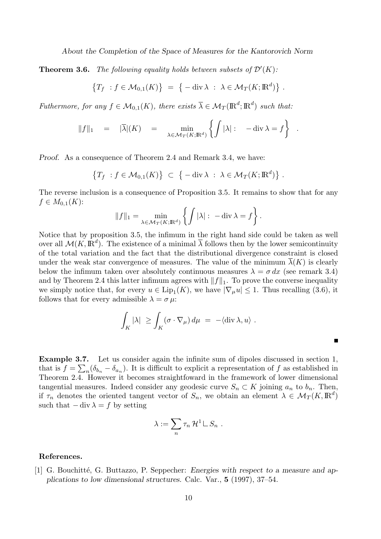About the Completion of the Space of Measures for the Kantorovich Norm

**Theorem 3.6.** The following equality holds between subsets of  $\mathcal{D}'(K)$ :

$$
\{T_f : f \in \mathcal{M}_{0,1}(K)\} = \{-\operatorname{div} \lambda : \lambda \in \mathcal{M}_T(K; \mathbb{R}^d)\}.
$$

Futhermore, for any  $f \in \mathcal{M}_{0,1}(K)$ , there exists  $\overline{\lambda} \in \mathcal{M}_T(\mathbb{R}^d; \mathbb{R}^d)$  such that:

$$
||f||_1 = |\overline{\lambda}|(K) = \min_{\lambda \in \mathcal{M}_T(K; \mathbb{R}^d)} \left\{ \int |\lambda| : -\operatorname{div} \lambda = f \right\} .
$$

Proof. As a consequence of Theorem 2.4 and Remark 3.4, we have:

$$
\{T_f : f \in \mathcal{M}_{0,1}(K)\} \subset \{-\operatorname{div} \lambda : \lambda \in \mathcal{M}_T(K; \mathbb{R}^d)\}.
$$

The reverse inclusion is a consequence of Proposition 3.5. It remains to show that for any  $f \in M_{0,1}(K)$ :

$$
||f||_1 = \min_{\lambda \in \mathcal{M}_T(K; \mathbb{R}^d)} \left\{ \int |\lambda| : -\operatorname{div} \lambda = f \right\}.
$$

Notice that by proposition 3.5, the infimum in the right hand side could be taken as well over all  $\mathcal{M}(K,\mathbb{R}^d)$ . The existence of a minimal  $\overline{\lambda}$  follows then by the lower semicontinuity of the total variation and the fact that the distributional divergence constraint is closed under the weak star convergence of measures. The value of the minimum  $\overline{\lambda}(K)$  is clearly below the infimum taken over absolutely continuous measures  $\lambda = \sigma dx$  (see remark 3.4) and by Theorem 2.4 this latter infimum agrees with  $||f||_1$ . To prove the converse inequality we simply notice that, for every  $u \in \text{Lip}_1(K)$ , we have  $|\nabla_\mu u| \leq 1$ . Thus recalling (3.6), it follows that for every admissible  $\lambda = \sigma \mu$ :

$$
\int_K |\lambda| \ge \int_K (\sigma \cdot \nabla_\mu) d\mu = -\langle \operatorname{div} \lambda, u \rangle.
$$

 $\blacksquare$ 

Example 3.7. Let us consider again the infinite sum of dipoles discussed in section 1, that is  $f = \sum_n (\delta_{b_n} - \delta_{a_n})$ . It is difficult to explicit a representation of f as established in Theorem 2.4. However it becomes straightfoward in the framework of lower dimensional tangential measures. Indeed consider any geodesic curve  $S_n \subset K$  joining  $a_n$  to  $b_n$ . Then, if  $\tau_n$  denotes the oriented tangent vector of  $S_n$ , we obtain an element  $\lambda \in \mathcal{M}_T(K, \mathbb{R}^d)$ such that  $-\text{div }\lambda = f$  by setting

$$
\lambda := \sum_n \tau_n \mathcal{H}^1 \sqcup S_n .
$$

### References.

[1] G. Bouchitté, G. Buttazzo, P. Seppecher: Energies with respect to a measure and applications to low dimensional structures. Calc. Var., 5 (1997), 37–54.